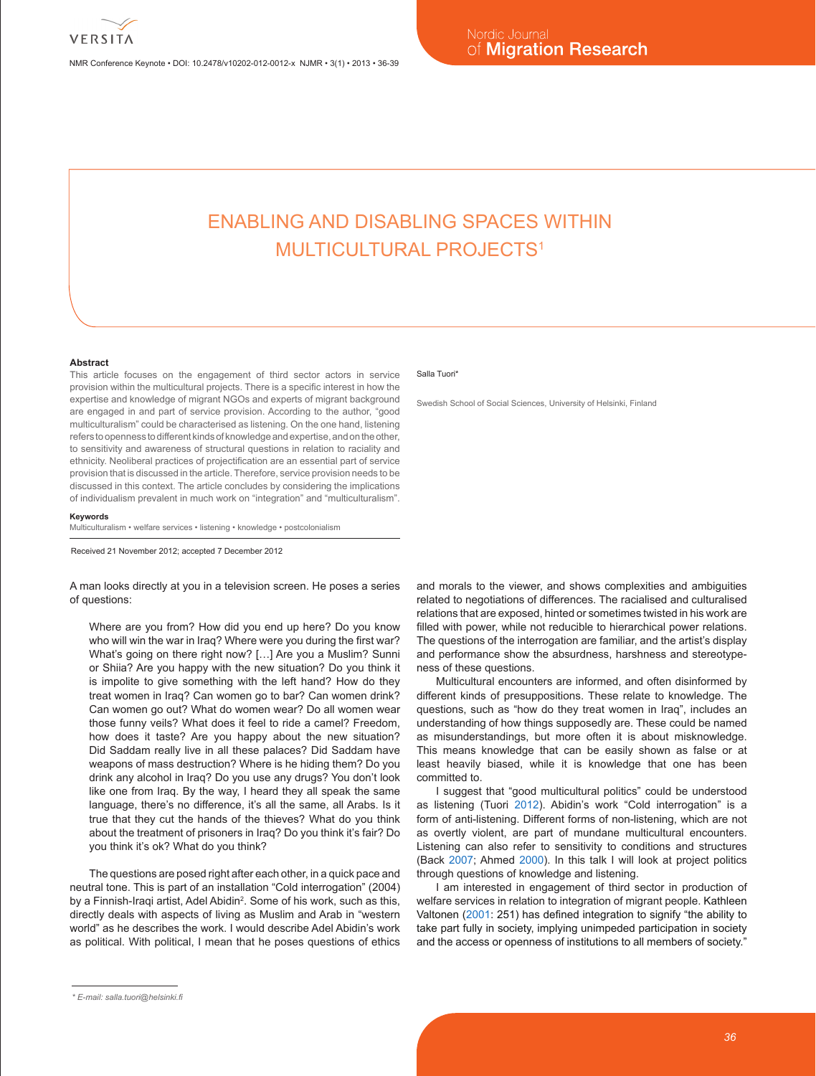NMR Conference Keynote • DOI: 10.2478/v10202-012-0012-x NJMR • 3(1) • 2013 • 36-39

# ENABLING AND DISABLING SPACES WITHIN MUI TICUI TURAI PROJECTS<sup>1</sup>

### **Abstract**

This article focuses on the engagement of third sector actors in service provision within the multicultural projects. There is a specific interest in how the expertise and knowledge of migrant NGOs and experts of migrant background are engaged in and part of service provision. According to the author, "good multiculturalism" could be characterised as listening. On the one hand, listening refers to openness to different kinds of knowledge and expertise, and on the other, to sensitivity and awareness of structural questions in relation to raciality and ethnicity. Neoliberal practices of projectification are an essential part of service provision that is discussed in the article. Therefore, service provision needs to be discussed in this context. The article concludes by considering the implications of individualism prevalent in much work on "integration" and "multiculturalism".

#### **Keywords**

Multiculturalism • welfare services • listening • knowledge • postcolonialism

Received 21 November 2012; accepted 7 December 2012

A man looks directly at you in a television screen. He poses a series of questions:

Where are you from? How did you end up here? Do you know who will win the war in Iraq? Where were you during the first war? What's going on there right now? […] Are you a Muslim? Sunni or Shiia? Are you happy with the new situation? Do you think it is impolite to give something with the left hand? How do they treat women in Iraq? Can women go to bar? Can women drink? Can women go out? What do women wear? Do all women wear those funny veils? What does it feel to ride a camel? Freedom, how does it taste? Are you happy about the new situation? Did Saddam really live in all these palaces? Did Saddam have weapons of mass destruction? Where is he hiding them? Do you drink any alcohol in Iraq? Do you use any drugs? You don't look like one from Iraq. By the way, I heard they all speak the same language, there's no difference, it's all the same, all Arabs. Is it true that they cut the hands of the thieves? What do you think about the treatment of prisoners in Iraq? Do you think it's fair? Do you think it's ok? What do you think?

The questions are posed right after each other, in a quick pace and neutral tone. This is part of an installation "Cold interrogation" (2004) by a Finnish-Iraqi artist, Adel Abidin<sup>2</sup>. Some of his work, such as this, directly deals with aspects of living as Muslim and Arab in "western world" as he describes the work. I would describe Adel Abidin's work as political. With political, I mean that he poses questions of ethics

### Salla Tuori<sup>\*</sup>

Swedish School of Social Sciences, University of Helsinki, Finland

and morals to the viewer, and shows complexities and ambiguities related to negotiations of differences. The racialised and culturalised relations that are exposed, hinted or sometimes twisted in his work are filled with power, while not reducible to hierarchical power relations. The questions of the interrogation are familiar, and the artist's display and performance show the absurdness, harshness and stereotypeness of these questions.

Multicultural encounters are informed, and often disinformed by different kinds of presuppositions. These relate to knowledge. The questions, such as "how do they treat women in Iraq", includes an understanding of how things supposedly are. These could be named as misunderstandings, but more often it is about misknowledge. This means knowledge that can be easily shown as false or at least heavily biased, while it is knowledge that one has been committed to.

I suggest that "good multicultural politics" could be understood as listening (Tuori 2012). Abidin's work "Cold interrogation" is a form of anti-listening. Different forms of non-listening, which are not as overtly violent, are part of mundane multicultural encounters. Listening can also refer to sensitivity to conditions and structures (Back 2007; Ahmed 2000). In this talk I will look at project politics through questions of knowledge and listening.

I am interested in engagement of third sector in production of welfare services in relation to integration of migrant people. Kathleen Valtonen (2001: 251) has defined integration to signify "the ability to take part fully in society, implying unimpeded participation in society and the access or openness of institutions to all members of society."

*<sup>\*</sup> E-mail: salla.tuori@helsinki.fi*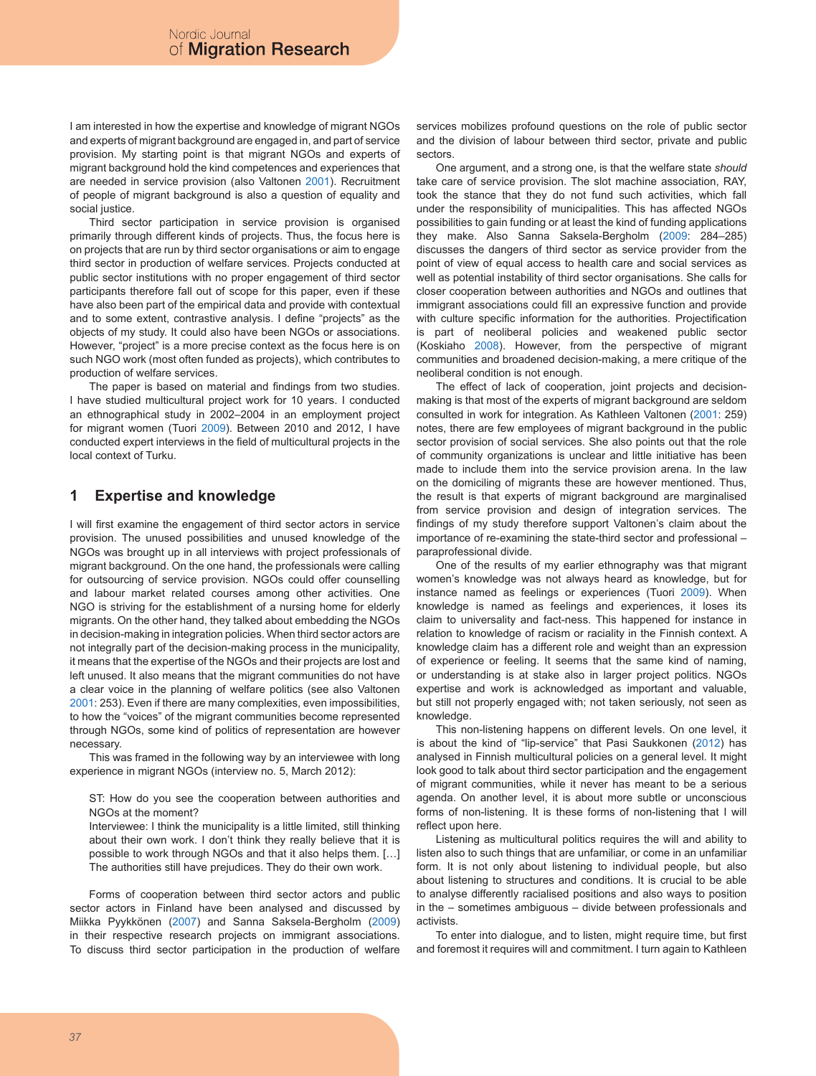I am interested in how the expertise and knowledge of migrant NGOs and experts of migrant background are engaged in, and part of service provision. My starting point is that migrant NGOs and experts of migrant background hold the kind competences and experiences that are needed in service provision (also Valtonen 2001). Recruitment of people of migrant background is also a question of equality and social justice.

Third sector participation in service provision is organised primarily through different kinds of projects. Thus, the focus here is on projects that are run by third sector organisations or aim to engage third sector in production of welfare services. Projects conducted at public sector institutions with no proper engagement of third sector participants therefore fall out of scope for this paper, even if these have also been part of the empirical data and provide with contextual and to some extent, contrastive analysis. I define "projects" as the objects of my study. It could also have been NGOs or associations. However, "project" is a more precise context as the focus here is on such NGO work (most often funded as projects), which contributes to production of welfare services.

The paper is based on material and findings from two studies. I have studied multicultural project work for 10 years. I conducted an ethnographical study in 2002–2004 in an employment project for migrant women (Tuori 2009). Between 2010 and 2012, I have conducted expert interviews in the field of multicultural projects in the local context of Turku.

# **1 Expertise and knowledge**

I will first examine the engagement of third sector actors in service provision. The unused possibilities and unused knowledge of the NGOs was brought up in all interviews with project professionals of migrant background. On the one hand, the professionals were calling for outsourcing of service provision. NGOs could offer counselling and labour market related courses among other activities. One NGO is striving for the establishment of a nursing home for elderly migrants. On the other hand, they talked about embedding the NGOs in decision-making in integration policies. When third sector actors are not integrally part of the decision-making process in the municipality, it means that the expertise of the NGOs and their projects are lost and left unused. It also means that the migrant communities do not have a clear voice in the planning of welfare politics (see also Valtonen 2001: 253). Even if there are many complexities, even impossibilities, to how the "voices" of the migrant communities become represented through NGOs, some kind of politics of representation are however necessary.

This was framed in the following way by an interviewee with long experience in migrant NGOs (interview no. 5, March 2012):

ST: How do you see the cooperation between authorities and NGOs at the moment?

Interviewee: I think the municipality is a little limited, still thinking about their own work. I don't think they really believe that it is possible to work through NGOs and that it also helps them. […] The authorities still have prejudices. They do their own work.

Forms of cooperation between third sector actors and public sector actors in Finland have been analysed and discussed by Miikka Pyykkönen (2007) and Sanna Saksela-Bergholm (2009) in their respective research projects on immigrant associations. To discuss third sector participation in the production of welfare services mobilizes profound questions on the role of public sector and the division of labour between third sector, private and public sectors.

One argument, and a strong one, is that the welfare state *should* take care of service provision. The slot machine association, RAY, took the stance that they do not fund such activities, which fall under the responsibility of municipalities. This has affected NGOs possibilities to gain funding or at least the kind of funding applications they make. Also Sanna Saksela-Bergholm (2009: 284–285) discusses the dangers of third sector as service provider from the point of view of equal access to health care and social services as well as potential instability of third sector organisations. She calls for closer cooperation between authorities and NGOs and outlines that immigrant associations could fill an expressive function and provide with culture specific information for the authorities. Projectification is part of neoliberal policies and weakened public sector (Koskiaho 2008). However, from the perspective of migrant communities and broadened decision-making, a mere critique of the neoliberal condition is not enough.

The effect of lack of cooperation, joint projects and decisionmaking is that most of the experts of migrant background are seldom consulted in work for integration. As Kathleen Valtonen (2001: 259) notes, there are few employees of migrant background in the public sector provision of social services. She also points out that the role of community organizations is unclear and little initiative has been made to include them into the service provision arena. In the law on the domiciling of migrants these are however mentioned. Thus, the result is that experts of migrant background are marginalised from service provision and design of integration services. The findings of my study therefore support Valtonen's claim about the importance of re-examining the state-third sector and professional – paraprofessional divide.

One of the results of my earlier ethnography was that migrant women's knowledge was not always heard as knowledge, but for instance named as feelings or experiences (Tuori 2009). When knowledge is named as feelings and experiences, it loses its claim to universality and fact-ness. This happened for instance in relation to knowledge of racism or raciality in the Finnish context. A knowledge claim has a different role and weight than an expression of experience or feeling. It seems that the same kind of naming, or understanding is at stake also in larger project politics. NGOs expertise and work is acknowledged as important and valuable, but still not properly engaged with; not taken seriously, not seen as knowledge.

This non-listening happens on different levels. On one level, it is about the kind of "lip-service" that Pasi Saukkonen (2012) has analysed in Finnish multicultural policies on a general level. It might look good to talk about third sector participation and the engagement of migrant communities, while it never has meant to be a serious agenda. On another level, it is about more subtle or unconscious forms of non-listening. It is these forms of non-listening that I will reflect upon here.

Listening as multicultural politics requires the will and ability to listen also to such things that are unfamiliar, or come in an unfamiliar form. It is not only about listening to individual people, but also about listening to structures and conditions. It is crucial to be able to analyse differently racialised positions and also ways to position in the – sometimes ambiguous – divide between professionals and activists.

To enter into dialogue, and to listen, might require time, but first and foremost it requires will and commitment. I turn again to Kathleen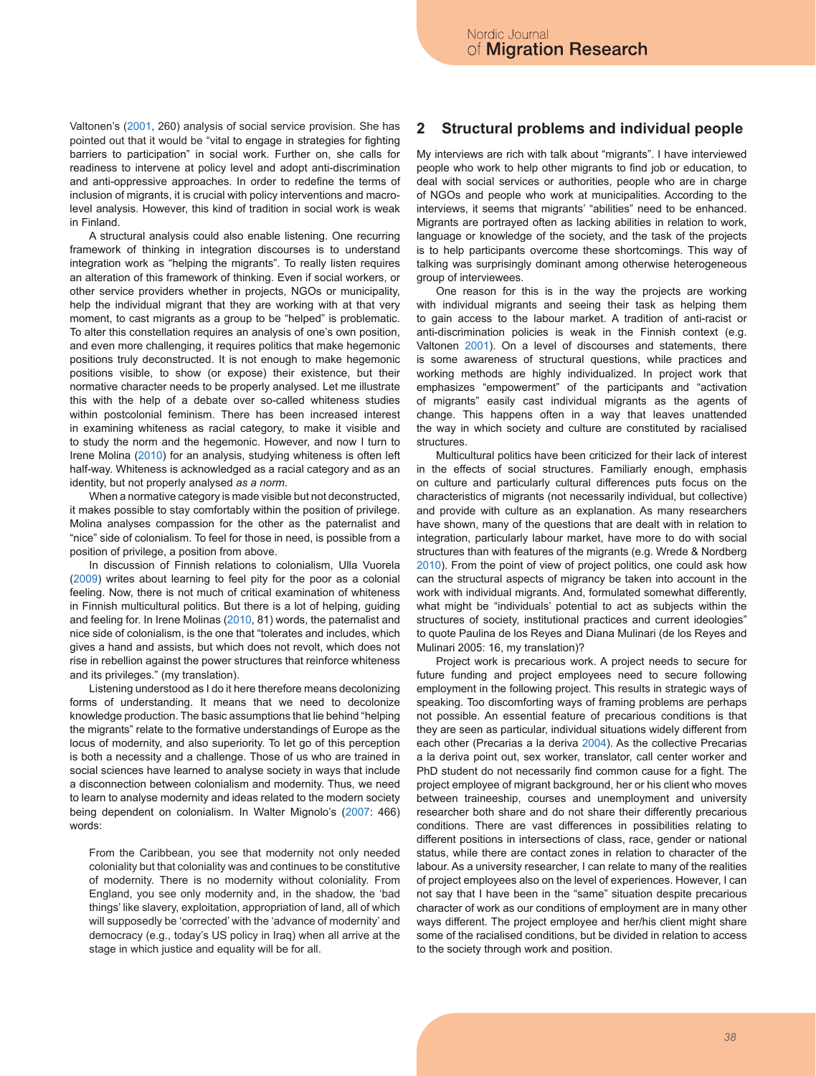Valtonen's (2001, 260) analysis of social service provision. She has pointed out that it would be "vital to engage in strategies for fighting barriers to participation" in social work. Further on, she calls for readiness to intervene at policy level and adopt anti-discrimination and anti-oppressive approaches. In order to redefine the terms of inclusion of migrants, it is crucial with policy interventions and macrolevel analysis. However, this kind of tradition in social work is weak in Finland.

A structural analysis could also enable listening. One recurring framework of thinking in integration discourses is to understand integration work as "helping the migrants". To really listen requires an alteration of this framework of thinking. Even if social workers, or other service providers whether in projects, NGOs or municipality, help the individual migrant that they are working with at that very moment, to cast migrants as a group to be "helped" is problematic. To alter this constellation requires an analysis of one's own position, and even more challenging, it requires politics that make hegemonic positions truly deconstructed. It is not enough to make hegemonic positions visible, to show (or expose) their existence, but their normative character needs to be properly analysed. Let me illustrate this with the help of a debate over so-called whiteness studies within postcolonial feminism. There has been increased interest in examining whiteness as racial category, to make it visible and to study the norm and the hegemonic. However, and now I turn to Irene Molina (2010) for an analysis, studying whiteness is often left half-way. Whiteness is acknowledged as a racial category and as an identity, but not properly analysed *as a norm*.

When a normative category is made visible but not deconstructed, it makes possible to stay comfortably within the position of privilege. Molina analyses compassion for the other as the paternalist and "nice" side of colonialism. To feel for those in need, is possible from a position of privilege, a position from above.

In discussion of Finnish relations to colonialism, Ulla Vuorela (2009) writes about learning to feel pity for the poor as a colonial feeling. Now, there is not much of critical examination of whiteness in Finnish multicultural politics. But there is a lot of helping, guiding and feeling for. In Irene Molinas (2010, 81) words, the paternalist and nice side of colonialism, is the one that "tolerates and includes, which gives a hand and assists, but which does not revolt, which does not rise in rebellion against the power structures that reinforce whiteness and its privileges." (my translation).

Listening understood as I do it here therefore means decolonizing forms of understanding. It means that we need to decolonize knowledge production. The basic assumptions that lie behind "helping the migrants" relate to the formative understandings of Europe as the locus of modernity, and also superiority. To let go of this perception is both a necessity and a challenge. Those of us who are trained in social sciences have learned to analyse society in ways that include a disconnection between colonialism and modernity. Thus, we need to learn to analyse modernity and ideas related to the modern society being dependent on colonialism. In Walter Mignolo's (2007: 466) words:

From the Caribbean, you see that modernity not only needed coloniality but that coloniality was and continues to be constitutive of modernity. There is no modernity without coloniality. From England, you see only modernity and, in the shadow, the 'bad things' like slavery, exploitation, appropriation of land, all of which will supposedly be 'corrected' with the 'advance of modernity' and democracy (e.g., today's US policy in Iraq) when all arrive at the stage in which justice and equality will be for all.

## **2 Structural problems and individual people**

My interviews are rich with talk about "migrants". I have interviewed people who work to help other migrants to find job or education, to deal with social services or authorities, people who are in charge of NGOs and people who work at municipalities. According to the interviews, it seems that migrants' "abilities" need to be enhanced. Migrants are portrayed often as lacking abilities in relation to work, language or knowledge of the society, and the task of the projects is to help participants overcome these shortcomings. This way of talking was surprisingly dominant among otherwise heterogeneous group of interviewees.

One reason for this is in the way the projects are working with individual migrants and seeing their task as helping them to gain access to the labour market. A tradition of anti-racist or anti-discrimination policies is weak in the Finnish context (e.g. Valtonen 2001). On a level of discourses and statements, there is some awareness of structural questions, while practices and working methods are highly individualized. In project work that emphasizes "empowerment" of the participants and "activation of migrants" easily cast individual migrants as the agents of change. This happens often in a way that leaves unattended the way in which society and culture are constituted by racialised structures.

Multicultural politics have been criticized for their lack of interest in the effects of social structures. Familiarly enough, emphasis on culture and particularly cultural differences puts focus on the characteristics of migrants (not necessarily individual, but collective) and provide with culture as an explanation. As many researchers have shown, many of the questions that are dealt with in relation to integration, particularly labour market, have more to do with social structures than with features of the migrants (e.g. Wrede & Nordberg 2010). From the point of view of project politics, one could ask how can the structural aspects of migrancy be taken into account in the work with individual migrants. And, formulated somewhat differently, what might be "individuals' potential to act as subjects within the structures of society, institutional practices and current ideologies" to quote Paulina de los Reyes and Diana Mulinari (de los Reyes and Mulinari 2005: 16, my translation)?

Project work is precarious work. A project needs to secure for future funding and project employees need to secure following employment in the following project. This results in strategic ways of speaking. Too discomforting ways of framing problems are perhaps not possible. An essential feature of precarious conditions is that they are seen as particular, individual situations widely different from each other (Precarias a la deriva 2004). As the collective Precarias a la deriva point out, sex worker, translator, call center worker and PhD student do not necessarily find common cause for a fight. The project employee of migrant background, her or his client who moves between traineeship, courses and unemployment and university researcher both share and do not share their differently precarious conditions. There are vast differences in possibilities relating to different positions in intersections of class, race, gender or national status, while there are contact zones in relation to character of the labour. As a university researcher, I can relate to many of the realities of project employees also on the level of experiences. However, I can not say that I have been in the "same" situation despite precarious character of work as our conditions of employment are in many other ways different. The project employee and her/his client might share some of the racialised conditions, but be divided in relation to access to the society through work and position.